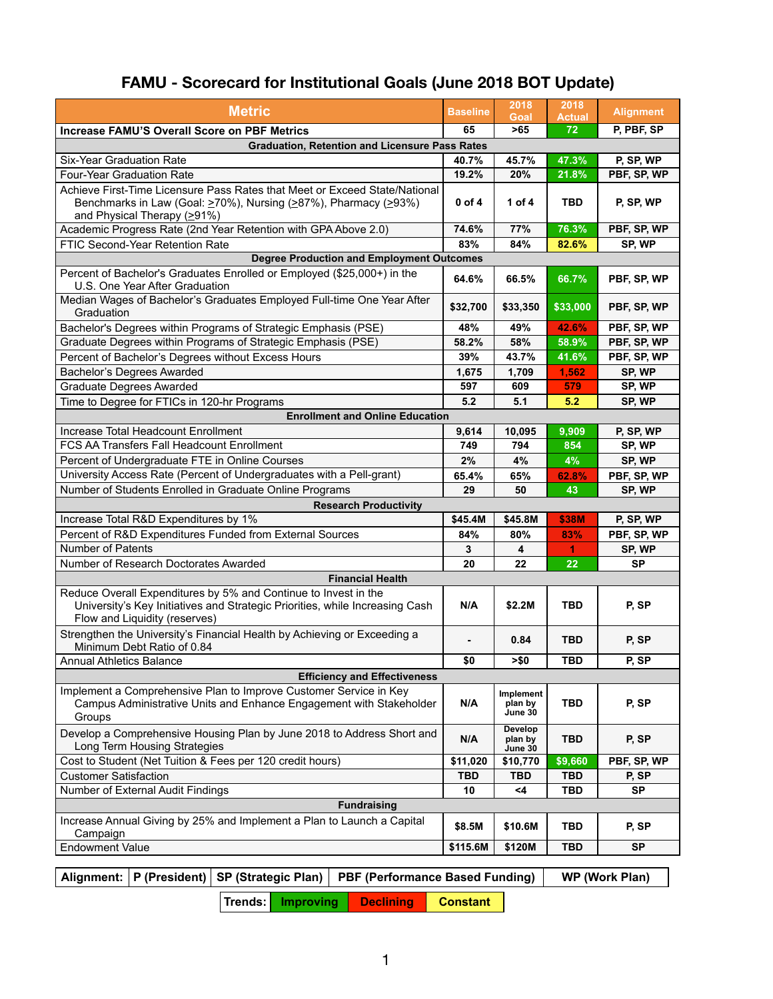## **FAMU - Scorecard for Institutional Goals (June 2018 BOT Update)**

| <b>Metric</b>                                                                                                                                                                                      | <b>Baseline</b> | 2018<br><b>Goal</b>                  | 2018<br><b>Actual</b> | <b>Alignment</b> |  |  |
|----------------------------------------------------------------------------------------------------------------------------------------------------------------------------------------------------|-----------------|--------------------------------------|-----------------------|------------------|--|--|
| <b>Increase FAMU'S Overall Score on PBF Metrics</b>                                                                                                                                                | 65              | $>65$                                | 72                    | P, PBF, SP       |  |  |
| <b>Graduation, Retention and Licensure Pass Rates</b>                                                                                                                                              |                 |                                      |                       |                  |  |  |
| <b>Six-Year Graduation Rate</b>                                                                                                                                                                    | 40.7%           | 45.7%                                | 47.3%                 | P, SP, WP        |  |  |
| <b>Four-Year Graduation Rate</b>                                                                                                                                                                   | 19.2%           | 20%                                  | 21.8%                 | PBF, SP, WP      |  |  |
| Achieve First-Time Licensure Pass Rates that Meet or Exceed State/National<br>Benchmarks in Law (Goal: $\geq$ 70%), Nursing ( $\geq$ 87%), Pharmacy ( $\geq$ 93%)<br>and Physical Therapy $(≥91%)$ | $0$ of 4        | 1 of $4$                             | <b>TBD</b>            | P, SP, WP        |  |  |
| Academic Progress Rate (2nd Year Retention with GPA Above 2.0)                                                                                                                                     | 74.6%           | 77%                                  | 76.3%                 | PBF, SP, WP      |  |  |
| <b>FTIC Second-Year Retention Rate</b>                                                                                                                                                             | 83%             | 84%                                  | 82.6%                 | SP, WP           |  |  |
| <b>Degree Production and Employment Outcomes</b>                                                                                                                                                   |                 |                                      |                       |                  |  |  |
| Percent of Bachelor's Graduates Enrolled or Employed (\$25,000+) in the<br>U.S. One Year After Graduation                                                                                          | 64.6%           | 66.5%                                | 66.7%                 | PBF, SP, WP      |  |  |
| Median Wages of Bachelor's Graduates Employed Full-time One Year After<br>Graduation                                                                                                               | \$32,700        | \$33,350                             | \$33,000              | PBF, SP, WP      |  |  |
| Bachelor's Degrees within Programs of Strategic Emphasis (PSE)                                                                                                                                     | 48%             | 49%                                  | 42.6%                 | PBF, SP, WP      |  |  |
| Graduate Degrees within Programs of Strategic Emphasis (PSE)                                                                                                                                       | 58.2%           | 58%                                  | 58.9%                 | PBF, SP, WP      |  |  |
| Percent of Bachelor's Degrees without Excess Hours                                                                                                                                                 | 39%             | 43.7%                                | 41.6%                 | PBF, SP, WP      |  |  |
| <b>Bachelor's Degrees Awarded</b>                                                                                                                                                                  | 1,675           | 1,709                                | 1,562                 | SP, WP           |  |  |
| <b>Graduate Degrees Awarded</b>                                                                                                                                                                    | 597             | 609                                  | 579                   | SP, WP           |  |  |
| Time to Degree for FTICs in 120-hr Programs                                                                                                                                                        | 5.2             | 5.1                                  | 5.2                   | SP, WP           |  |  |
| <b>Enrollment and Online Education</b>                                                                                                                                                             |                 |                                      |                       |                  |  |  |
| Increase Total Headcount Enrollment                                                                                                                                                                | 9,614           | 10,095                               | 9,909                 | P, SP, WP        |  |  |
| <b>FCS AA Transfers Fall Headcount Enrollment</b>                                                                                                                                                  | 749             | 794                                  | 854                   | SP, WP           |  |  |
| Percent of Undergraduate FTE in Online Courses                                                                                                                                                     | 2%              | 4%                                   | 4%                    | SP, WP           |  |  |
| University Access Rate (Percent of Undergraduates with a Pell-grant)                                                                                                                               | 65.4%           | 65%                                  | 62.8%                 | PBF, SP, WP      |  |  |
| Number of Students Enrolled in Graduate Online Programs                                                                                                                                            | 29              | 50                                   | 43                    | SP, WP           |  |  |
| <b>Research Productivity</b>                                                                                                                                                                       |                 |                                      |                       |                  |  |  |
| Increase Total R&D Expenditures by 1%                                                                                                                                                              | \$45.4M         | \$45.8M                              | <b>\$38M</b>          | P, SP, WP        |  |  |
| Percent of R&D Expenditures Funded from External Sources                                                                                                                                           | 84%             | 80%                                  | 83%                   | PBF, SP, WP      |  |  |
| <b>Number of Patents</b>                                                                                                                                                                           | 3               | 4                                    | 1                     | SP, WP           |  |  |
| Number of Research Doctorates Awarded                                                                                                                                                              | 20              | 22                                   | 22                    | <b>SP</b>        |  |  |
| <b>Financial Health</b>                                                                                                                                                                            |                 |                                      |                       |                  |  |  |
| Reduce Overall Expenditures by 5% and Continue to Invest in the<br>University's Key Initiatives and Strategic Priorities, while Increasing Cash<br>Flow and Liquidity (reserves)                   | N/A             | \$2.2M                               | <b>TBD</b>            | P, SP            |  |  |
| Strengthen the University's Financial Health by Achieving or Exceeding a<br>Minimum Debt Ratio of 0.84                                                                                             |                 | 0.84                                 | <b>TBD</b>            | P, SP            |  |  |
| <b>Annual Athletics Balance</b>                                                                                                                                                                    | \$0             | > \$0                                | <b>TBD</b>            | P, SP            |  |  |
| <b>Efficiency and Effectiveness</b>                                                                                                                                                                |                 |                                      |                       |                  |  |  |
| Implement a Comprehensive Plan to Improve Customer Service in Key<br>Campus Administrative Units and Enhance Engagement with Stakeholder<br>Groups                                                 | N/A             | Implement<br>plan by<br>June 30      | <b>TBD</b>            | P, SP            |  |  |
| Develop a Comprehensive Housing Plan by June 2018 to Address Short and<br><b>Long Term Housing Strategies</b>                                                                                      | N/A             | <b>Develop</b><br>plan by<br>June 30 | <b>TBD</b>            | P, SP            |  |  |
| Cost to Student (Net Tuition & Fees per 120 credit hours)                                                                                                                                          | \$11,020        | \$10,770                             | \$9,660               | PBF, SP, WP      |  |  |
| <b>Customer Satisfaction</b>                                                                                                                                                                       | <b>TBD</b>      | <b>TBD</b>                           | <b>TBD</b>            | P, SP            |  |  |
| <b>Number of External Audit Findings</b>                                                                                                                                                           | 10              | $\leq 4$                             | <b>TBD</b>            | <b>SP</b>        |  |  |
| <b>Fundraising</b>                                                                                                                                                                                 |                 |                                      |                       |                  |  |  |
| Increase Annual Giving by 25% and Implement a Plan to Launch a Capital<br>Campaign                                                                                                                 | \$8.5M          | \$10.6M                              | <b>TBD</b>            | P, SP            |  |  |
| <b>Endowment Value</b>                                                                                                                                                                             | \$115.6M        | \$120M                               | <b>TBD</b>            | <b>SP</b>        |  |  |

|  | Trends: Improving | <b>Declining</b> | <b>Constant</b> |
|--|-------------------|------------------|-----------------|
|--|-------------------|------------------|-----------------|

|  | Alignment:   P (President)   SP (Strategic Plan)    PBF (Performance Based Funding)       WP (Work Plan) |  |
|--|----------------------------------------------------------------------------------------------------------|--|
|  |                                                                                                          |  |

1